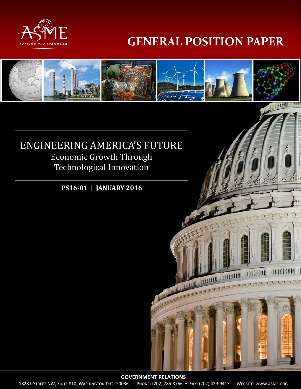

# **GENERAL POSITION PAPER**



1828 L STREET NW, SUITE 810, WASHINGTON D.C. 20036 | PHONE: (202) 785-3756 · FAX: (202) 429-9417 | WEBSITE: WWW.ASME.ORG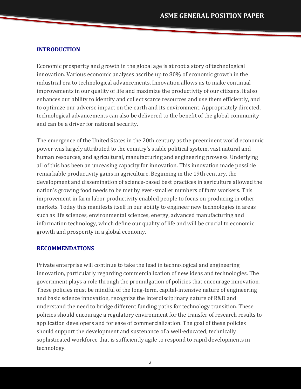#### **INTRODUCTION**

Economic prosperity and growth in the global age is at root a story of technological innovation. Various economic analyses ascribe up to 80% of economic growth in the industrial era to technological advancements. Innovation allows us to make continual improvements in our quality of life and maximize the productivity of our citizens. It also enhances our ability to identify and collect scarce resources and use them efficiently, and to optimize our adverse impact on the earth and its environment. Appropriately directed, technological advancements can also be delivered to the benefit of the global community and can be a driver for national security.

The emergence of the United States in the 20th century as the preeminent world economic power was largely attributed to the country's stable political system, vast natural and human resources, and agricultural, manufacturing and engineering prowess. Underlying all of this has been an unceasing capacity for innovation. This innovation made possible remarkable productivity gains in agriculture. Beginning in the 19th century, the development and dissemination of science-based best practices in agriculture allowed the nation's growing food needs to be met by ever-smaller numbers of farm workers. This improvement in farm labor productivity enabled people to focus on producing in other markets. Today this manifests itself in our ability to engineer new technologies in areas such as life sciences, environmental sciences, energy, advanced manufacturing and information technology, which define our quality of life and will be crucial to economic growth and prosperity in a global economy.

#### **RECOMMENDATIONS**

Private enterprise will continue to take the lead in technological and engineering innovation, particularly regarding commercialization of new ideas and technologies. The government plays a role through the promulgation of policies that encourage innovation. These policies must be mindful of the long-term, capital-intensive nature of engineering and basic science innovation, recognize the interdisciplinary nature of R&D and understand the need to bridge different funding paths for technology transition. These policies should encourage a regulatory environment for the transfer of research results to application developers and for ease of commercialization. The goal of these policies should support the development and sustenance of a well-educated, technically sophisticated workforce that is sufficiently agile to respond to rapid developments in technology.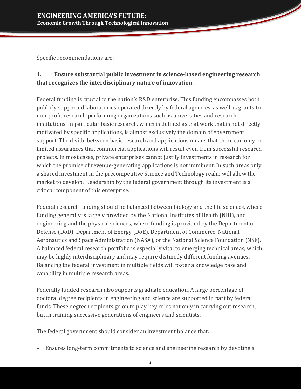Specific recommendations are:

# **1. Ensure substantial public investment in science‐based engineering research that recognizes the interdisciplinary nature of innovation.**

Federal funding is crucial to the nation's R&D enterprise. This funding encompasses both publicly supported laboratories operated directly by federal agencies, as well as grants to non-profit research-performing organizations such as universities and research institutions. In particular basic research, which is defined as that work that is not directly motivated by specific applications, is almost exclusively the domain of government support. The divide between basic research and applications means that there can only be limited assurances that commercial applications will result even from successful research projects. In most cases, private enterprises cannot justify investments in research for which the promise of revenue-generating applications is not imminent. In such areas only a shared investment in the precompetitive Science and Technology realm will allow the market to develop. Leadership by the federal government through its investment is a critical component of this enterprise.

Federal research funding should be balanced between biology and the life sciences, where funding generally is largely provided by the National Institutes of Health (NIH), and engineering and the physical sciences, where funding is provided by the Department of Defense (DoD), Department of Energy (DoE), Department of Commerce, National Aeronautics and Space Administration (NASA), or the National Science Foundation (NSF). A balanced federal research portfolio is especially vital to emerging technical areas, which may be highly interdisciplinary and may require distinctly different funding avenues. Balancing the federal investment in multiple fields will foster a knowledge base and capability in multiple research areas.

Federally funded research also supports graduate education. A large percentage of doctoral degree recipients in engineering and science are supported in part by federal funds. These degree recipients go on to play key roles not only in carrying out research, but in training successive generations of engineers and scientists.

The federal government should consider an investment balance that:

• Ensures long-term commitments to science and engineering research by devoting a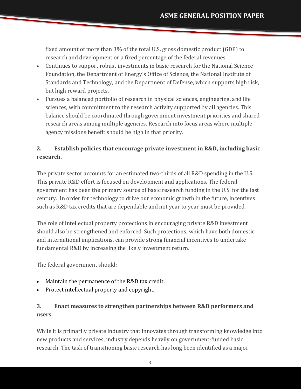fixed amount of more than 3% of the total U.S. gross domestic product (GDP) to research and development or a fixed percentage of the federal revenues.

- Continues to support robust investments in basic research for the National Science Foundation, the Department of Energy's Office of Science, the National Institute of Standards and Technology, and the Department of Defense, which supports high risk, but high reward projects.
- Pursues a balanced portfolio of research in physical sciences, engineering, and life sciences, with commitment to the research activity supported by all agencies. This balance should be coordinated through government investment priorities and shared research areas among multiple agencies. Research into focus areas where multiple agency missions benefit should be high in that priority.

# **2. Establish policies that encourage private investment in R&D, including basic research.**

The private sector accounts for an estimated two-thirds of all R&D spending in the U.S. This private R&D effort is focused on development and applications. The federal government has been the primary source of basic research funding in the U.S. for the last century. In order for technology to drive our economic growth in the future, incentives such as R&D tax credits that are dependable and not year to year must be provided.

The role of intellectual property protections in encouraging private R&D investment should also be strengthened and enforced. Such protections, which have both domestic and international implications, can provide strong financial incentives to undertake fundamental R&D by increasing the likely investment return.

The federal government should:

- Maintain the permanence of the  $R&D$  tax credit.
- Protect intellectual property and copyright.

# **3. Enact measures to strengthen partnerships between R&D performers and** users.

While it is primarily private industry that innovates through transforming knowledge into new products and services, industry depends heavily on government-funded basic research. The task of transitioning basic research has long been identified as a major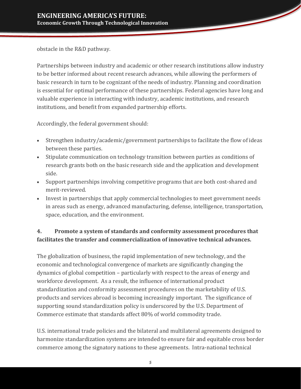obstacle in the R&D pathway.

Partnerships between industry and academic or other research institutions allow industry to be better informed about recent research advances, while allowing the performers of basic research in turn to be cognizant of the needs of industry. Planning and coordination is essential for optimal performance of these partnerships. Federal agencies have long and valuable experience in interacting with industry, academic institutions, and research institutions, and benefit from expanded partnership efforts.

Accordingly, the federal government should:

- Strengthen industry/academic/government partnerships to facilitate the flow of ideas between these parties.
- Stipulate communication on technology transition between parties as conditions of research grants both on the basic research side and the application and development side.
- Support partnerships involving competitive programs that are both cost-shared and merit‐reviewed.
- Invest in partnerships that apply commercial technologies to meet government needs in areas such as energy, advanced manufacturing, defense, intelligence, transportation, space, education, and the environment.

# **4. Promote a system of standards and conformity assessment procedures that facilitates the transfer and commercialization of innovative technical advances.**

The globalization of business, the rapid implementation of new technology, and the economic and technological convergence of markets are significantly changing the dynamics of global competition – particularly with respect to the areas of energy and workforce development. As a result, the influence of international product standardization and conformity assessment procedures on the marketability of U.S. products and services abroad is becoming increasingly important. The significance of supporting sound standardization policy is underscored by the U.S. Department of Commerce estimate that standards affect 80% of world commodity trade.

U.S. international trade policies and the bilateral and multilateral agreements designed to harmonize standardization systems are intended to ensure fair and equitable cross border commerce among the signatory nations to these agreements. Intra-national technical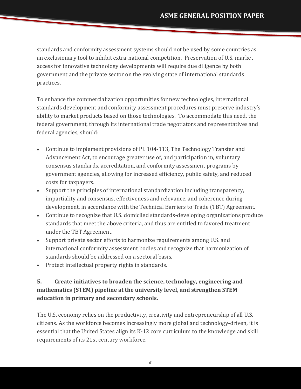standards and conformity assessment systems should not be used by some countries as an exclusionary tool to inhibit extra-national competition. Preservation of U.S. market access for innovative technology developments will require due diligence by both government and the private sector on the evolving state of international standards practices. 

To enhance the commercialization opportunities for new technologies, international standards development and conformity assessment procedures must preserve industry's ability to market products based on those technologies. To accommodate this need, the federal government, through its international trade negotiators and representatives and federal agencies, should:

- Continue to implement provisions of PL 104-113, The Technology Transfer and Advancement Act, to encourage greater use of, and participation in, voluntary consensus standards, accreditation, and conformity assessment programs by government agencies, allowing for increased efficiency, public safety, and reduced costs for taxpayers.
- Support the principles of international standardization including transparency, impartiality and consensus, effectiveness and relevance, and coherence during development, in accordance with the Technical Barriers to Trade (TBT) Agreement.
- Continue to recognize that U.S. domiciled standards-developing organizations produce standards that meet the above criteria, and thus are entitled to favored treatment under the TBT Agreement.
- Support private sector efforts to harmonize requirements among U.S. and international conformity assessment bodies and recognize that harmonization of standards should be addressed on a sectoral basis.
- Protect intellectual property rights in standards.

# **5. Create initiatives to broaden the science, technology, engineering and mathematics (STEM) pipeline at the university level, and strengthen STEM education in primary and secondary schools.**

The U.S. economy relies on the productivity, creativity and entrepreneurship of all U.S. citizens. As the workforce becomes increasingly more global and technology-driven, it is essential that the United States align its K-12 core curriculum to the knowledge and skill requirements of its 21st century workforce.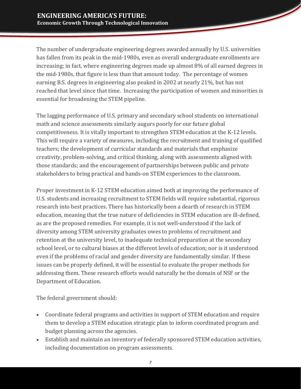The number of undergraduate engineering degrees awarded annually by U.S. universities has fallen from its peak in the mid-1980s, even as overall undergraduate enrollments are increasing; in fact, where engineering degrees made up almost  $8\%$  of all earned degrees in the mid-1980s, that figure is less than that amount today. The percentage of women earning B.S. degrees in engineering also peaked in 2002 at nearly 21%, but has not reached that level since that time. Increasing the participation of women and minorities is essential for broadening the STEM pipeline.

The lagging performance of U.S. primary and secondary school students on international math and science assessments similarly augurs poorly for our future global competitiveness. It is vitally important to strengthen STEM education at the K-12 levels. This will require a variety of measures, including the recruitment and training of qualified teachers; the development of curricular standards and materials that emphasize creativity, problem-solving, and critical thinking, along with assessments aligned with those standards; and the encouragement of partnerships between public and private stakeholders to bring practical and hands-on STEM experiences to the classroom.

Proper investment in K-12 STEM education aimed both at improving the performance of U.S. students and increasing recruitment to STEM fields will require substantial, rigorous research into best practices. There has historically been a dearth of research in STEM education, meaning that the true nature of deficiencies in STEM education are ill-defined, as are the proposed remedies. For example, it is not well-understood if the lack of diversity among STEM university graduates owes to problems of recruitment and retention at the university level, to inadequate technical preparation at the secondary school level, or to cultural biases at the different levels of education; nor is it understood even if the problems of racial and gender diversity are fundamentally similar. If these issues can be properly defined, it will be essential to evaluate the proper methods for addressing them. These research efforts would naturally be the domain of NSF or the Department of Education.

The federal government should:

- Coordinate federal programs and activities in support of STEM education and require them to develop a STEM education strategic plan to inform coordinated program and budget planning across the agencies.
- Establish and maintain an inventory of federally sponsored STEM education activities, including documentation on program assessments.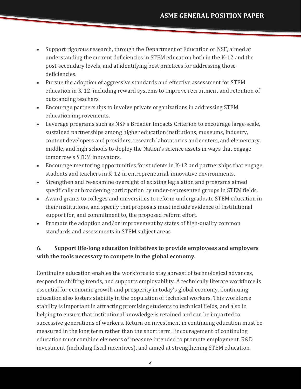- Support rigorous research, through the Department of Education or NSF, aimed at understanding the current deficiencies in STEM education both in the K-12 and the post-secondary levels, and at identifying best practices for addressing those deficiencies.
- Pursue the adoption of aggressive standards and effective assessment for STEM education in K-12, including reward systems to improve recruitment and retention of outstanding teachers.
- Encourage partnerships to involve private organizations in addressing STEM education improvements.
- Leverage programs such as NSF's Broader Impacts Criterion to encourage large-scale, sustained partnerships among higher education institutions, museums, industry, content developers and providers, research laboratories and centers, and elementary, middle, and high schools to deploy the Nation's science assets in ways that engage tomorrow's STEM innovators.
- Encourage mentoring opportunities for students in K-12 and partnerships that engage students and teachers in K-12 in entrepreneurial, innovative environments.
- Strengthen and re-examine oversight of existing legislation and programs aimed specifically at broadening participation by under-represented groups in STEM fields.
- Award grants to colleges and universities to reform undergraduate STEM education in their institutions, and specify that proposals must include evidence of institutional support for, and commitment to, the proposed reform effort.
- Promote the adoption and/or improvement by states of high-quality common standards and assessments in STEM subject areas.

# **6. Support life‐long education initiatives to provide employees and employers with the tools necessary to compete in the global economy.**

Continuing education enables the workforce to stay abreast of technological advances, respond to shifting trends, and supports employability. A technically literate workforce is essential for economic growth and prosperity in today's global economy. Continuing education also fosters stability in the population of technical workers. This workforce stability is important in attracting promising students to technical fields, and also in helping to ensure that institutional knowledge is retained and can be imparted to successive generations of workers. Return on investment in continuing education must be measured in the long term rather than the short term. Encouragement of continuing education must combine elements of measure intended to promote employment, R&D investment (including fiscal incentives), and aimed at strengthening STEM education.